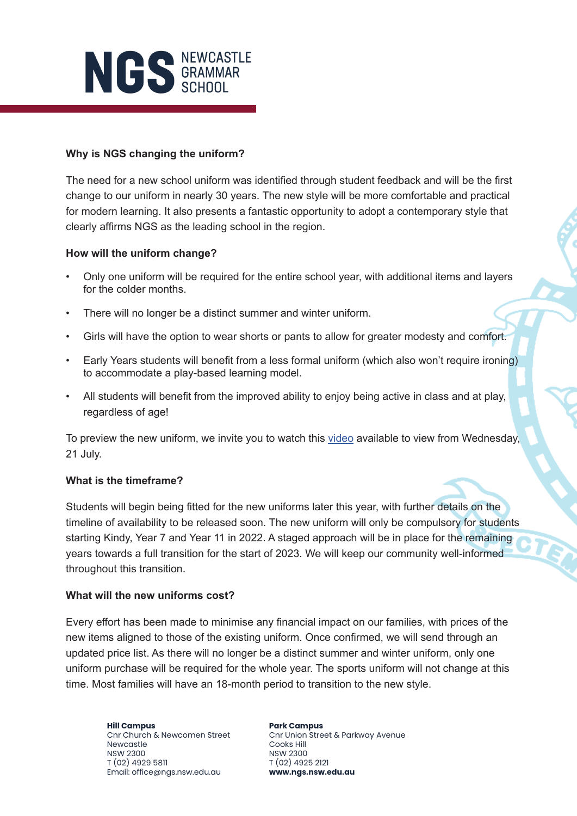

## **Why is NGS changing the uniform?**

The need for a new school uniform was identified through student feedback and will be the first change to our uniform in nearly 30 years. The new style will be more comfortable and practical for modern learning. It also presents a fantastic opportunity to adopt a contemporary style that clearly affirms NGS as the leading school in the region.

### **How will the uniform change?**

- Only one uniform will be required for the entire school year, with additional items and layers for the colder months.
- There will no longer be a distinct summer and winter uniform.
- Girls will have the option to wear shorts or pants to allow for greater modesty and comfort.
- Early Years students will benefit from a less formal uniform (which also won't require ironing) to accommodate a play-based learning model.
- All students will benefit from the improved ability to enjoy being active in class and at play, regardless of age!

To preview the new uniform, we invite you to watch this [video](https://youtu.be/WvJzinakwlY) available to view from Wednesday, 21 July.

## **What is the timeframe?**

Students will begin being fitted for the new uniforms later this year, with further details on the timeline of availability to be released soon. The new uniform will only be compulsory for students starting Kindy, Year 7 and Year 11 in 2022. A staged approach will be in place for the remaining years towards a full transition for the start of 2023. We will keep our community well-informed throughout this transition.

### **What will the new uniforms cost?**

Every effort has been made to minimise any financial impact on our families, with prices of the new items aligned to those of the existing uniform. Once confirmed, we will send through an updated price list. As there will no longer be a distinct summer and winter uniform, only one uniform purchase will be required for the whole year. The sports uniform will not change at this time. Most families will have an 18-month period to transition to the new style.

**Hill Campus** Cnr Church & Newcomen Street Newcastle NSW 2300 T (02) 4929 5811 Email: office@ngs.nsw.edu.au

**Park Campus** Cnr Union Street & Parkway Avenue Cooks Hill NSW 2300 T (02) 4925 2121 **www.ngs.nsw.edu.au**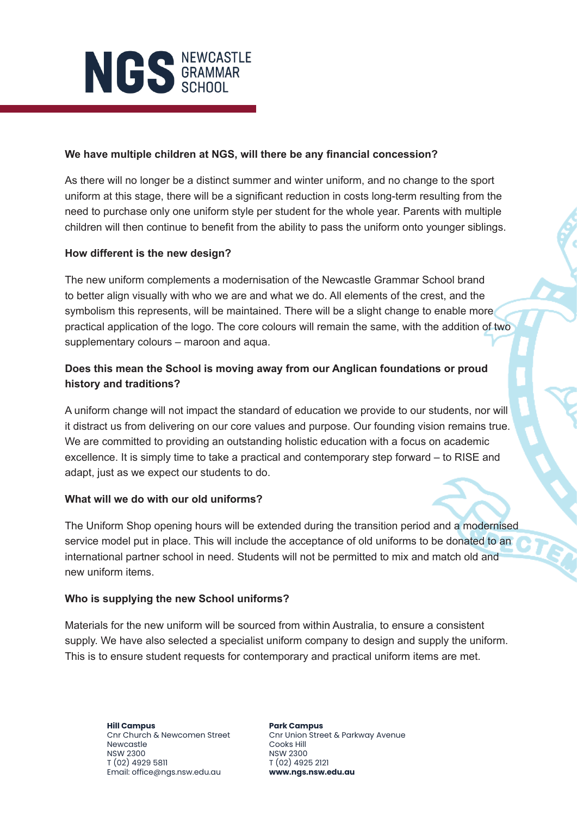

## **We have multiple children at NGS, will there be any financial concession?**

As there will no longer be a distinct summer and winter uniform, and no change to the sport uniform at this stage, there will be a significant reduction in costs long-term resulting from the need to purchase only one uniform style per student for the whole year. Parents with multiple children will then continue to benefit from the ability to pass the uniform onto younger siblings.

## **How different is the new design?**

The new uniform complements a modernisation of the Newcastle Grammar School brand to better align visually with who we are and what we do. All elements of the crest, and the symbolism this represents, will be maintained. There will be a slight change to enable more practical application of the logo. The core colours will remain the same, with the addition of two supplementary colours – maroon and aqua.

# **Does this mean the School is moving away from our Anglican foundations or proud history and traditions?**

A uniform change will not impact the standard of education we provide to our students, nor will it distract us from delivering on our core values and purpose. Our founding vision remains true. We are committed to providing an outstanding holistic education with a focus on academic excellence. It is simply time to take a practical and contemporary step forward – to RISE and adapt, just as we expect our students to do.

### **What will we do with our old uniforms?**

The Uniform Shop opening hours will be extended during the transition period and a modernised service model put in place. This will include the acceptance of old uniforms to be donated to an international partner school in need. Students will not be permitted to mix and match old and new uniform items.

### **Who is supplying the new School uniforms?**

Materials for the new uniform will be sourced from within Australia, to ensure a consistent supply. We have also selected a specialist uniform company to design and supply the uniform. This is to ensure student requests for contemporary and practical uniform items are met.

**Hill Campus** Cnr Church & Newcomen Street Newcastle NSW 2300 T (02) 4929 5811 Email: office@ngs.nsw.edu.au

**Park Campus** Cnr Union Street & Parkway Avenue Cooks Hill NSW 2300 T (02) 4925 2121 **www.ngs.nsw.edu.au**